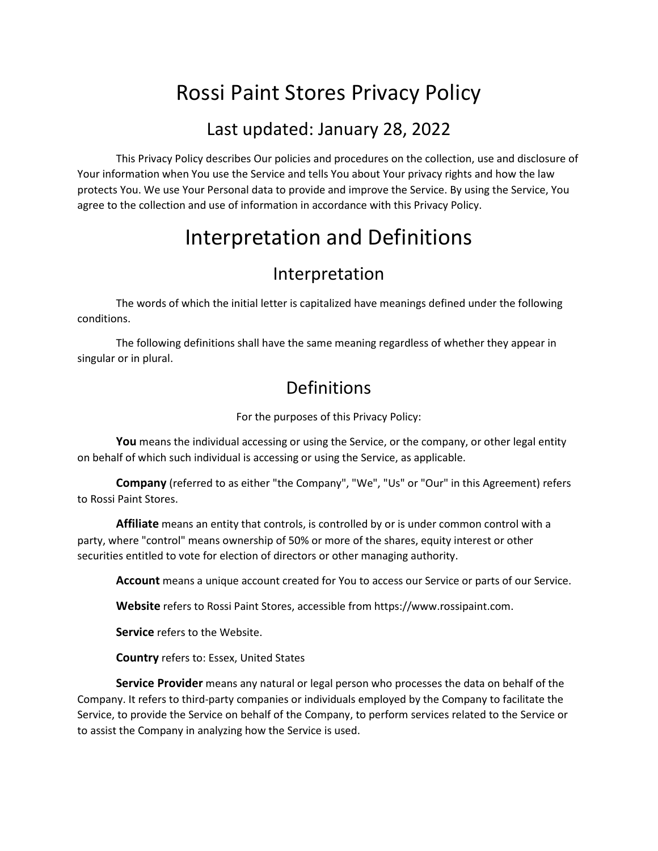## Rossi Paint Stores Privacy Policy

#### Last updated: January 28, 2022

This Privacy Policy describes Our policies and procedures on the collection, use and disclosure of Your information when You use the Service and tells You about Your privacy rights and how the law protects You. We use Your Personal data to provide and improve the Service. By using the Service, You agree to the collection and use of information in accordance with this Privacy Policy.

## Interpretation and Definitions

#### Interpretation

The words of which the initial letter is capitalized have meanings defined under the following conditions.

The following definitions shall have the same meaning regardless of whether they appear in singular or in plural.

#### Definitions

For the purposes of this Privacy Policy:

**You** means the individual accessing or using the Service, or the company, or other legal entity on behalf of which such individual is accessing or using the Service, as applicable.

**Company** (referred to as either "the Company", "We", "Us" or "Our" in this Agreement) refers to Rossi Paint Stores.

**Affiliate** means an entity that controls, is controlled by or is under common control with a party, where "control" means ownership of 50% or more of the shares, equity interest or other securities entitled to vote for election of directors or other managing authority.

Account means a unique account created for You to access our Service or parts of our Service.

**Website** refers to Rossi Paint Stores, accessible from https://www.rossipaint.com.

**Service** refers to the Website.

**Country** refers to: Essex, United States

**Service Provider** means any natural or legal person who processes the data on behalf of the Company. It refers to third-party companies or individuals employed by the Company to facilitate the Service, to provide the Service on behalf of the Company, to perform services related to the Service or to assist the Company in analyzing how the Service is used.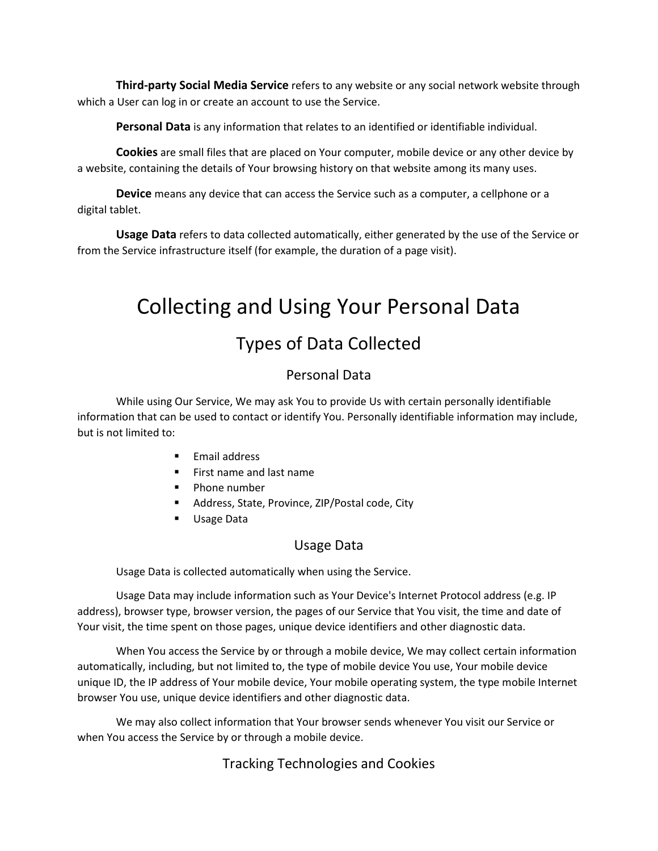**Third-party Social Media Service** refers to any website or any social network website through which a User can log in or create an account to use the Service.

**Personal Data** is any information that relates to an identified or identifiable individual.

**Cookies** are small files that are placed on Your computer, mobile device or any other device by a website, containing the details of Your browsing history on that website among its many uses.

**Device** means any device that can access the Service such as a computer, a cellphone or a digital tablet.

**Usage Data** refers to data collected automatically, either generated by the use of the Service or from the Service infrastructure itself (for example, the duration of a page visit).

## Collecting and Using Your Personal Data

#### Types of Data Collected

#### Personal Data

While using Our Service, We may ask You to provide Us with certain personally identifiable information that can be used to contact or identify You. Personally identifiable information may include, but is not limited to:

- **Email address**
- **First name and last name**
- **Phone number**
- **Address, State, Province, ZIP/Postal code, City**
- **Usage Data**

#### Usage Data

Usage Data is collected automatically when using the Service.

Usage Data may include information such as Your Device's Internet Protocol address (e.g. IP address), browser type, browser version, the pages of our Service that You visit, the time and date of Your visit, the time spent on those pages, unique device identifiers and other diagnostic data.

When You access the Service by or through a mobile device, We may collect certain information automatically, including, but not limited to, the type of mobile device You use, Your mobile device unique ID, the IP address of Your mobile device, Your mobile operating system, the type mobile Internet browser You use, unique device identifiers and other diagnostic data.

We may also collect information that Your browser sends whenever You visit our Service or when You access the Service by or through a mobile device.

#### Tracking Technologies and Cookies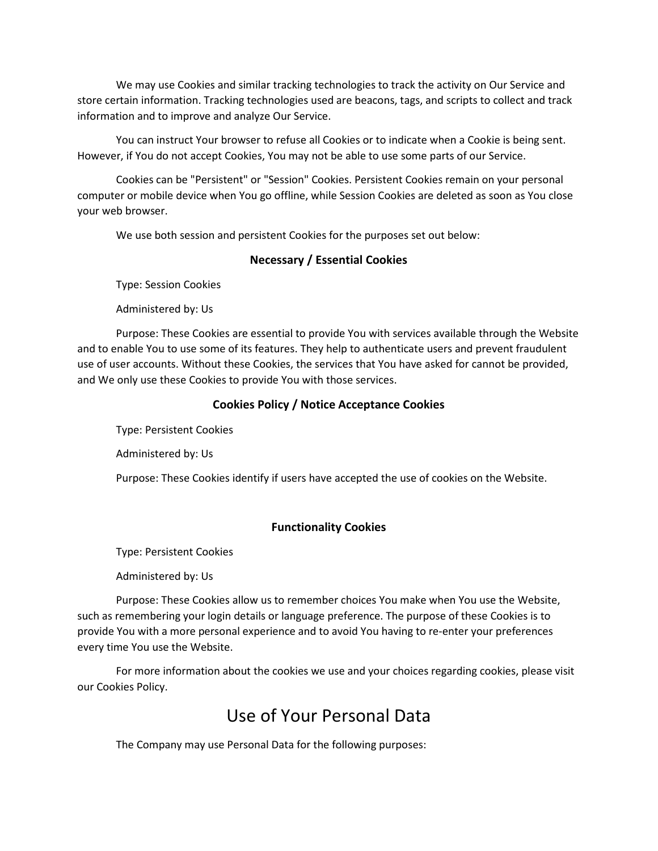We may use Cookies and similar tracking technologies to track the activity on Our Service and store certain information. Tracking technologies used are beacons, tags, and scripts to collect and track information and to improve and analyze Our Service.

You can instruct Your browser to refuse all Cookies or to indicate when a Cookie is being sent. However, if You do not accept Cookies, You may not be able to use some parts of our Service.

Cookies can be "Persistent" or "Session" Cookies. Persistent Cookies remain on your personal computer or mobile device when You go offline, while Session Cookies are deleted as soon as You close your web browser.

We use both session and persistent Cookies for the purposes set out below:

#### **Necessary / Essential Cookies**

Type: Session Cookies

Administered by: Us

Purpose: These Cookies are essential to provide You with services available through the Website and to enable You to use some of its features. They help to authenticate users and prevent fraudulent use of user accounts. Without these Cookies, the services that You have asked for cannot be provided, and We only use these Cookies to provide You with those services.

#### **Cookies Policy / Notice Acceptance Cookies**

Type: Persistent Cookies

Administered by: Us

Purpose: These Cookies identify if users have accepted the use of cookies on the Website.

#### **Functionality Cookies**

Type: Persistent Cookies

Administered by: Us

Purpose: These Cookies allow us to remember choices You make when You use the Website, such as remembering your login details or language preference. The purpose of these Cookies is to provide You with a more personal experience and to avoid You having to re-enter your preferences every time You use the Website.

For more information about the cookies we use and your choices regarding cookies, please visit our Cookies Policy.

#### Use of Your Personal Data

The Company may use Personal Data for the following purposes: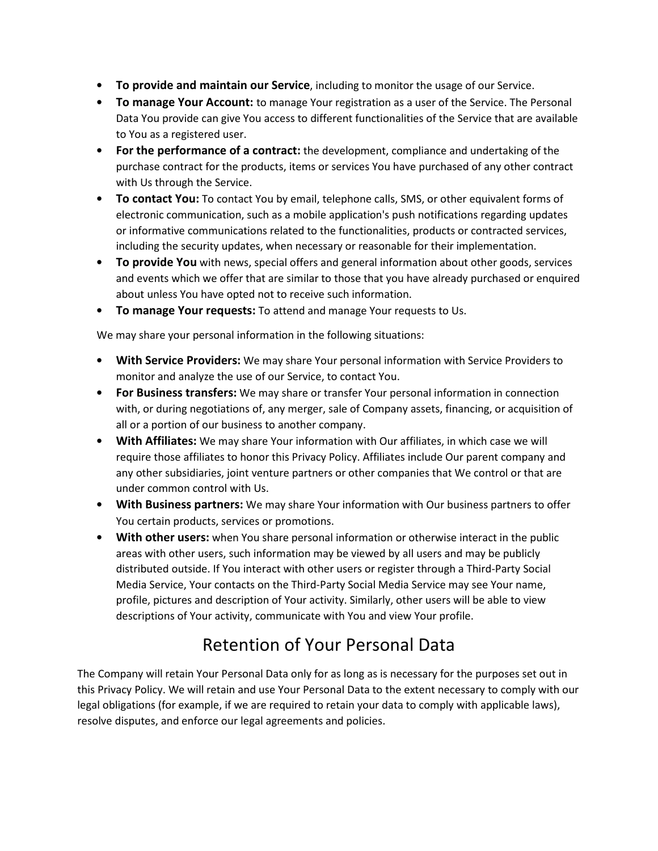- **To provide and maintain our Service**, including to monitor the usage of our Service.
- **To manage Your Account:** to manage Your registration as a user of the Service. The Personal Data You provide can give You access to different functionalities of the Service that are available to You as a registered user.
- **For the performance of a contract:** the development, compliance and undertaking of the purchase contract for the products, items or services You have purchased of any other contract with Us through the Service.
- **To contact You:** To contact You by email, telephone calls, SMS, or other equivalent forms of electronic communication, such as a mobile application's push notifications regarding updates or informative communications related to the functionalities, products or contracted services, including the security updates, when necessary or reasonable for their implementation.
- **To provide You** with news, special offers and general information about other goods, services and events which we offer that are similar to those that you have already purchased or enquired about unless You have opted not to receive such information.
- **To manage Your requests:** To attend and manage Your requests to Us.

We may share your personal information in the following situations:

- **With Service Providers:** We may share Your personal information with Service Providers to monitor and analyze the use of our Service, to contact You.
- **For Business transfers:** We may share or transfer Your personal information in connection with, or during negotiations of, any merger, sale of Company assets, financing, or acquisition of all or a portion of our business to another company.
- **With Affiliates:** We may share Your information with Our affiliates, in which case we will require those affiliates to honor this Privacy Policy. Affiliates include Our parent company and any other subsidiaries, joint venture partners or other companies that We control or that are under common control with Us.
- **With Business partners:** We may share Your information with Our business partners to offer You certain products, services or promotions.
- **With other users:** when You share personal information or otherwise interact in the public areas with other users, such information may be viewed by all users and may be publicly distributed outside. If You interact with other users or register through a Third-Party Social Media Service, Your contacts on the Third-Party Social Media Service may see Your name, profile, pictures and description of Your activity. Similarly, other users will be able to view descriptions of Your activity, communicate with You and view Your profile.

#### Retention of Your Personal Data

The Company will retain Your Personal Data only for as long as is necessary for the purposes set out in this Privacy Policy. We will retain and use Your Personal Data to the extent necessary to comply with our legal obligations (for example, if we are required to retain your data to comply with applicable laws), resolve disputes, and enforce our legal agreements and policies.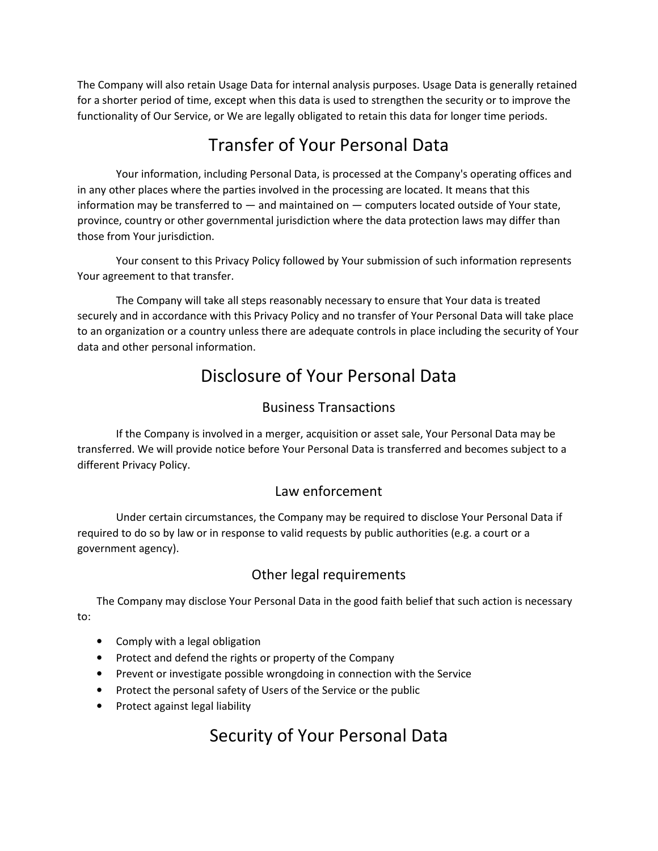The Company will also retain Usage Data for internal analysis purposes. Usage Data is generally retained for a shorter period of time, except when this data is used to strengthen the security or to improve the functionality of Our Service, or We are legally obligated to retain this data for longer time periods.

#### Transfer of Your Personal Data

Your information, including Personal Data, is processed at the Company's operating offices and in any other places where the parties involved in the processing are located. It means that this information may be transferred to — and maintained on — computers located outside of Your state, province, country or other governmental jurisdiction where the data protection laws may differ than those from Your jurisdiction.

Your consent to this Privacy Policy followed by Your submission of such information represents Your agreement to that transfer.

The Company will take all steps reasonably necessary to ensure that Your data is treated securely and in accordance with this Privacy Policy and no transfer of Your Personal Data will take place to an organization or a country unless there are adequate controls in place including the security of Your data and other personal information.

#### Disclosure of Your Personal Data

#### Business Transactions

If the Company is involved in a merger, acquisition or asset sale, Your Personal Data may be transferred. We will provide notice before Your Personal Data is transferred and becomes subject to a different Privacy Policy.

#### Law enforcement

Under certain circumstances, the Company may be required to disclose Your Personal Data if required to do so by law or in response to valid requests by public authorities (e.g. a court or a government agency).

#### Other legal requirements

The Company may disclose Your Personal Data in the good faith belief that such action is necessary to:

- Comply with a legal obligation
- Protect and defend the rights or property of the Company
- Prevent or investigate possible wrongdoing in connection with the Service
- Protect the personal safety of Users of the Service or the public
- Protect against legal liability

#### Security of Your Personal Data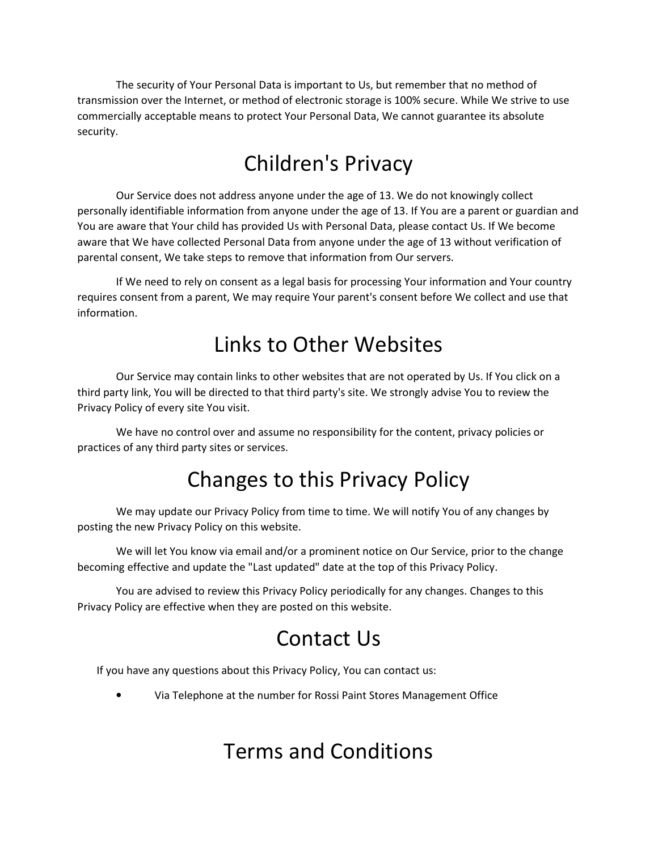The security of Your Personal Data is important to Us, but remember that no method of transmission over the Internet, or method of electronic storage is 100% secure. While We strive to use commercially acceptable means to protect Your Personal Data, We cannot guarantee its absolute security.

# Children's Privacy

Our Service does not address anyone under the age of 13. We do not knowingly collect personally identifiable information from anyone under the age of 13. If You are a parent or guardian and You are aware that Your child has provided Us with Personal Data, please contact Us. If We become aware that We have collected Personal Data from anyone under the age of 13 without verification of parental consent, We take steps to remove that information from Our servers.

If We need to rely on consent as a legal basis for processing Your information and Your country requires consent from a parent, We may require Your parent's consent before We collect and use that information.

## Links to Other Websites

Our Service may contain links to other websites that are not operated by Us. If You click on a third party link, You will be directed to that third party's site. We strongly advise You to review the Privacy Policy of every site You visit.

We have no control over and assume no responsibility for the content, privacy policies or practices of any third party sites or services.

## Changes to this Privacy Policy

We may update our Privacy Policy from time to time. We will notify You of any changes by posting the new Privacy Policy on this website.

We will let You know via email and/or a prominent notice on Our Service, prior to the change becoming effective and update the "Last updated" date at the top of this Privacy Policy.

You are advised to review this Privacy Policy periodically for any changes. Changes to this Privacy Policy are effective when they are posted on this website.

## Contact Us

If you have any questions about this Privacy Policy, You can contact us:

• Via Telephone at the number for Rossi Paint Stores Management Office

## Terms and Conditions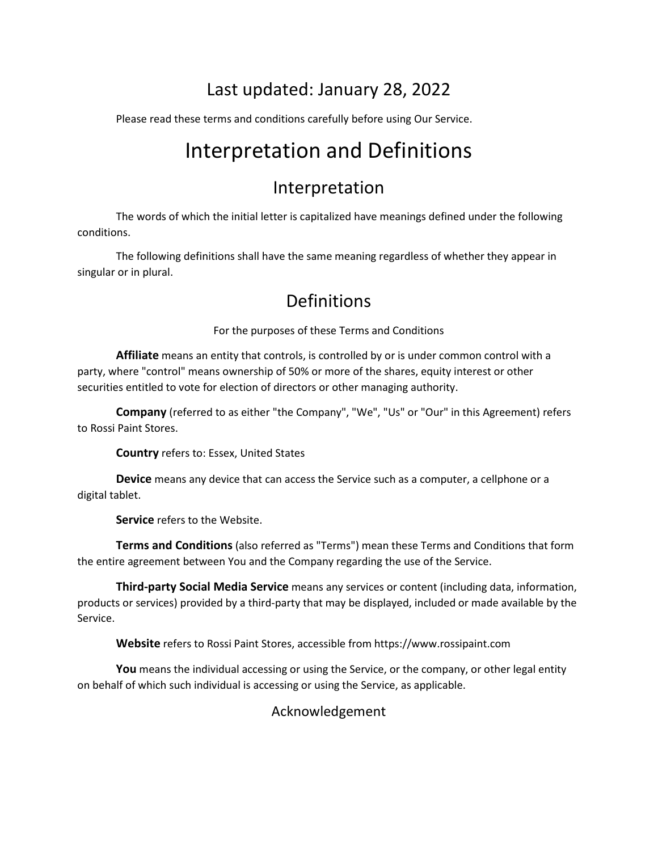### Last updated: January 28, 2022

Please read these terms and conditions carefully before using Our Service.

# Interpretation and Definitions

#### Interpretation

The words of which the initial letter is capitalized have meanings defined under the following conditions.

The following definitions shall have the same meaning regardless of whether they appear in singular or in plural.

### **Definitions**

For the purposes of these Terms and Conditions

**Affiliate** means an entity that controls, is controlled by or is under common control with a party, where "control" means ownership of 50% or more of the shares, equity interest or other securities entitled to vote for election of directors or other managing authority.

**Company** (referred to as either "the Company", "We", "Us" or "Our" in this Agreement) refers to Rossi Paint Stores.

**Country** refers to: Essex, United States

**Device** means any device that can access the Service such as a computer, a cellphone or a digital tablet.

**Service** refers to the Website.

**Terms and Conditions** (also referred as "Terms") mean these Terms and Conditions that form the entire agreement between You and the Company regarding the use of the Service.

**Third-party Social Media Service** means any services or content (including data, information, products or services) provided by a third-party that may be displayed, included or made available by the Service.

**Website** refers to Rossi Paint Stores, accessible from https://www.rossipaint.com

**You** means the individual accessing or using the Service, or the company, or other legal entity on behalf of which such individual is accessing or using the Service, as applicable.

#### Acknowledgement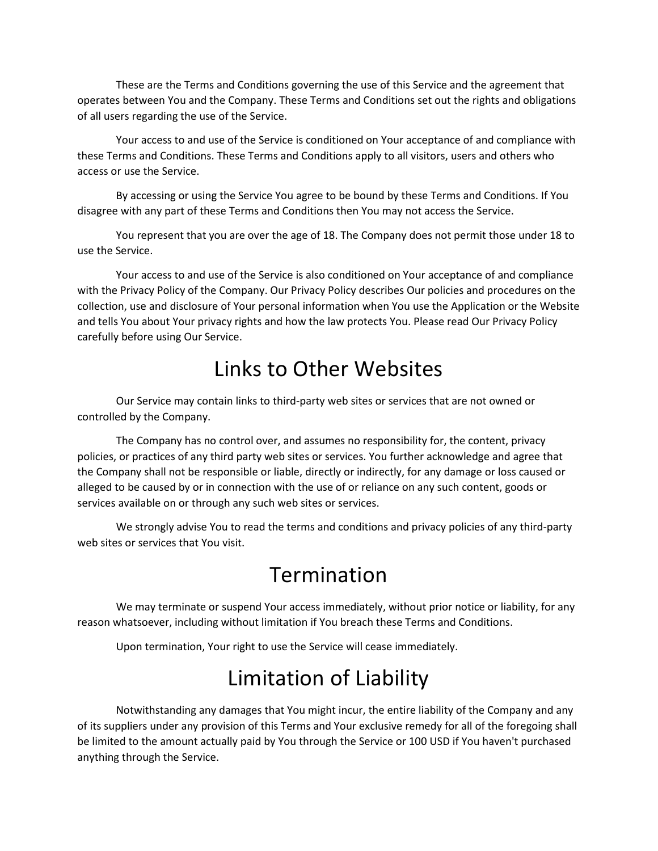These are the Terms and Conditions governing the use of this Service and the agreement that operates between You and the Company. These Terms and Conditions set out the rights and obligations of all users regarding the use of the Service.

Your access to and use of the Service is conditioned on Your acceptance of and compliance with these Terms and Conditions. These Terms and Conditions apply to all visitors, users and others who access or use the Service.

By accessing or using the Service You agree to be bound by these Terms and Conditions. If You disagree with any part of these Terms and Conditions then You may not access the Service.

You represent that you are over the age of 18. The Company does not permit those under 18 to use the Service.

Your access to and use of the Service is also conditioned on Your acceptance of and compliance with the Privacy Policy of the Company. Our Privacy Policy describes Our policies and procedures on the collection, use and disclosure of Your personal information when You use the Application or the Website and tells You about Your privacy rights and how the law protects You. Please read Our Privacy Policy carefully before using Our Service.

## Links to Other Websites

Our Service may contain links to third-party web sites or services that are not owned or controlled by the Company.

The Company has no control over, and assumes no responsibility for, the content, privacy policies, or practices of any third party web sites or services. You further acknowledge and agree that the Company shall not be responsible or liable, directly or indirectly, for any damage or loss caused or alleged to be caused by or in connection with the use of or reliance on any such content, goods or services available on or through any such web sites or services.

We strongly advise You to read the terms and conditions and privacy policies of any third-party web sites or services that You visit.

## Termination

We may terminate or suspend Your access immediately, without prior notice or liability, for any reason whatsoever, including without limitation if You breach these Terms and Conditions.

Upon termination, Your right to use the Service will cease immediately.

# Limitation of Liability

Notwithstanding any damages that You might incur, the entire liability of the Company and any of its suppliers under any provision of this Terms and Your exclusive remedy for all of the foregoing shall be limited to the amount actually paid by You through the Service or 100 USD if You haven't purchased anything through the Service.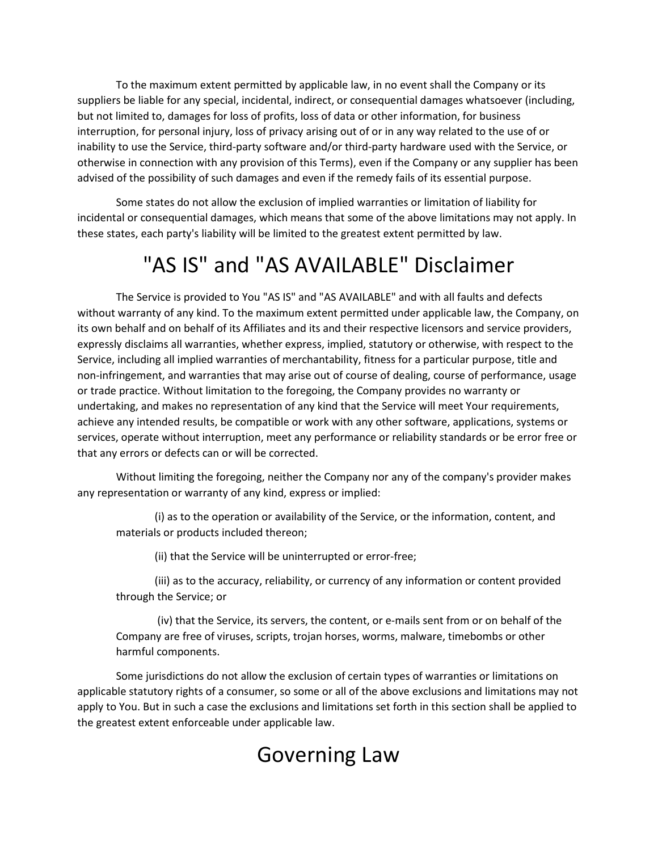To the maximum extent permitted by applicable law, in no event shall the Company or its suppliers be liable for any special, incidental, indirect, or consequential damages whatsoever (including, but not limited to, damages for loss of profits, loss of data or other information, for business interruption, for personal injury, loss of privacy arising out of or in any way related to the use of or inability to use the Service, third-party software and/or third-party hardware used with the Service, or otherwise in connection with any provision of this Terms), even if the Company or any supplier has been advised of the possibility of such damages and even if the remedy fails of its essential purpose.

Some states do not allow the exclusion of implied warranties or limitation of liability for incidental or consequential damages, which means that some of the above limitations may not apply. In these states, each party's liability will be limited to the greatest extent permitted by law.

# "AS IS" and "AS AVAILABLE" Disclaimer

The Service is provided to You "AS IS" and "AS AVAILABLE" and with all faults and defects without warranty of any kind. To the maximum extent permitted under applicable law, the Company, on its own behalf and on behalf of its Affiliates and its and their respective licensors and service providers, expressly disclaims all warranties, whether express, implied, statutory or otherwise, with respect to the Service, including all implied warranties of merchantability, fitness for a particular purpose, title and non-infringement, and warranties that may arise out of course of dealing, course of performance, usage or trade practice. Without limitation to the foregoing, the Company provides no warranty or undertaking, and makes no representation of any kind that the Service will meet Your requirements, achieve any intended results, be compatible or work with any other software, applications, systems or services, operate without interruption, meet any performance or reliability standards or be error free or that any errors or defects can or will be corrected.

Without limiting the foregoing, neither the Company nor any of the company's provider makes any representation or warranty of any kind, express or implied:

(i) as to the operation or availability of the Service, or the information, content, and materials or products included thereon;

(ii) that the Service will be uninterrupted or error-free;

(iii) as to the accuracy, reliability, or currency of any information or content provided through the Service; or

 (iv) that the Service, its servers, the content, or e-mails sent from or on behalf of the Company are free of viruses, scripts, trojan horses, worms, malware, timebombs or other harmful components.

Some jurisdictions do not allow the exclusion of certain types of warranties or limitations on applicable statutory rights of a consumer, so some or all of the above exclusions and limitations may not apply to You. But in such a case the exclusions and limitations set forth in this section shall be applied to the greatest extent enforceable under applicable law.

## Governing Law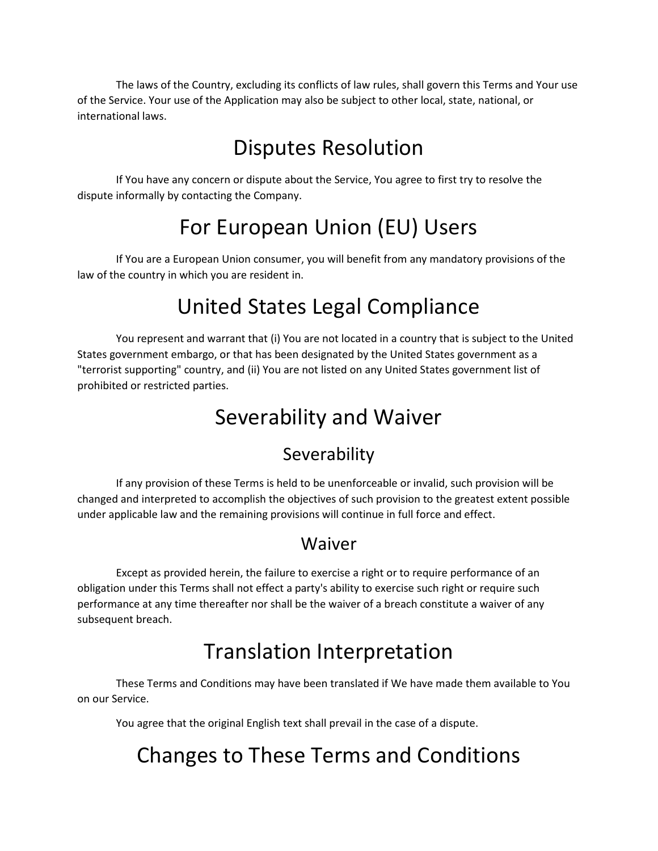The laws of the Country, excluding its conflicts of law rules, shall govern this Terms and Your use of the Service. Your use of the Application may also be subject to other local, state, national, or international laws.

## Disputes Resolution

If You have any concern or dispute about the Service, You agree to first try to resolve the dispute informally by contacting the Company.

# For European Union (EU) Users

If You are a European Union consumer, you will benefit from any mandatory provisions of the law of the country in which you are resident in.

# United States Legal Compliance

You represent and warrant that (i) You are not located in a country that is subject to the United States government embargo, or that has been designated by the United States government as a "terrorist supporting" country, and (ii) You are not listed on any United States government list of prohibited or restricted parties.

# Severability and Waiver

### Severability

If any provision of these Terms is held to be unenforceable or invalid, such provision will be changed and interpreted to accomplish the objectives of such provision to the greatest extent possible under applicable law and the remaining provisions will continue in full force and effect.

#### Waiver

Except as provided herein, the failure to exercise a right or to require performance of an obligation under this Terms shall not effect a party's ability to exercise such right or require such performance at any time thereafter nor shall be the waiver of a breach constitute a waiver of any subsequent breach.

# Translation Interpretation

These Terms and Conditions may have been translated if We have made them available to You on our Service.

You agree that the original English text shall prevail in the case of a dispute.

# Changes to These Terms and Conditions